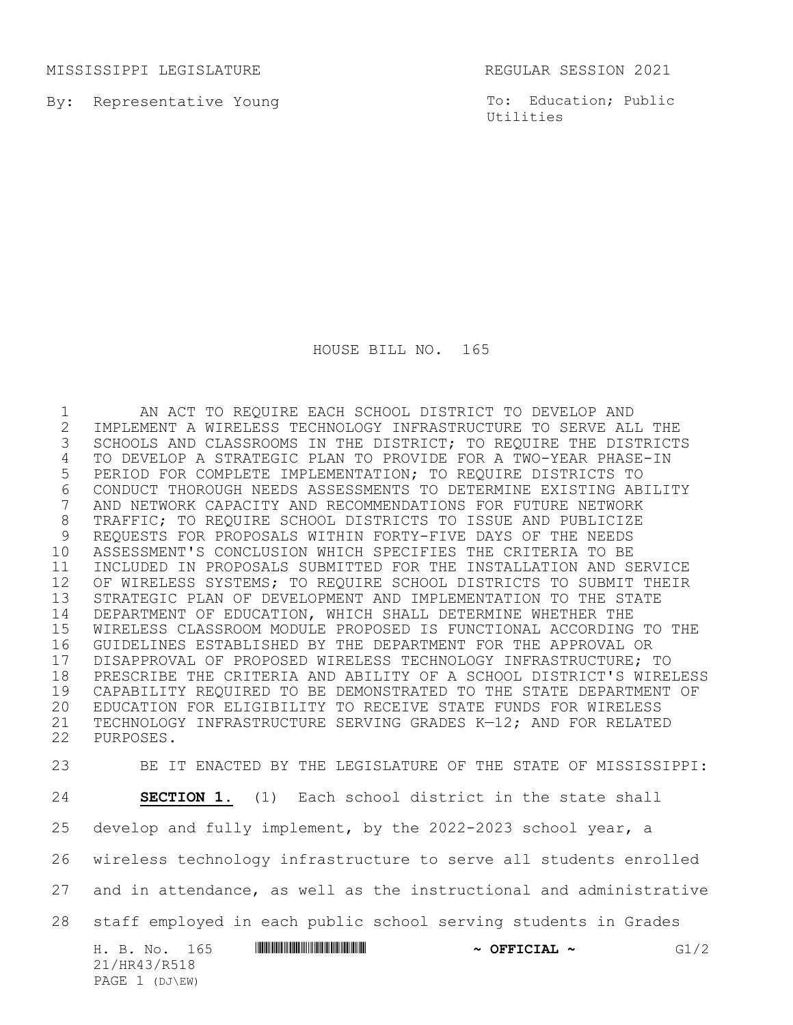MISSISSIPPI LEGISLATURE REGULAR SESSION 2021

PAGE 1 (DJ\EW)

By: Representative Young

To: Education; Public Utilities

HOUSE BILL NO. 165

 AN ACT TO REQUIRE EACH SCHOOL DISTRICT TO DEVELOP AND 2 IMPLEMENT A WIRELESS TECHNOLOGY INFRASTRUCTURE TO SERVE ALL THE<br>3 SCHOOLS AND CLASSROOMS IN THE DISTRICT; TO REQUIRE THE DISTRICT SCHOOLS AND CLASSROOMS IN THE DISTRICT; TO REQUIRE THE DISTRICTS TO DEVELOP A STRATEGIC PLAN TO PROVIDE FOR A TWO-YEAR PHASE-IN PERIOD FOR COMPLETE IMPLEMENTATION; TO REQUIRE DISTRICTS TO 6 CONDUCT THOROUGH NEEDS ASSESSMENTS TO DETERMINE EXISTING ABILITY<br>7 AND NETWORK CAPACITY AND RECOMMENDATIONS FOR FUTURE NETWORK AND NETWORK CAPACITY AND RECOMMENDATIONS FOR FUTURE NETWORK TRAFFIC; TO REQUIRE SCHOOL DISTRICTS TO ISSUE AND PUBLICIZE REQUESTS FOR PROPOSALS WITHIN FORTY-FIVE DAYS OF THE NEEDS ASSESSMENT'S CONCLUSION WHICH SPECIFIES THE CRITERIA TO BE INCLUDED IN PROPOSALS SUBMITTED FOR THE INSTALLATION AND SERVICE OF WIRELESS SYSTEMS; TO REQUIRE SCHOOL DISTRICTS TO SUBMIT THEIR STRATEGIC PLAN OF DEVELOPMENT AND IMPLEMENTATION TO THE STATE DEPARTMENT OF EDUCATION, WHICH SHALL DETERMINE WHETHER THE WIRELESS CLASSROOM MODULE PROPOSED IS FUNCTIONAL ACCORDING TO THE GUIDELINES ESTABLISHED BY THE DEPARTMENT FOR THE APPROVAL OR 17 DISAPPROVAL OF PROPOSED WIRELESS TECHNOLOGY INFRASTRUCTURE; TO<br>18 PRESCRIBE THE CRITERIA AND ABILITY OF A SCHOOL DISTRICT'S WIRE PRESCRIBE THE CRITERIA AND ABILITY OF A SCHOOL DISTRICT'S WIRELESS CAPABILITY REQUIRED TO BE DEMONSTRATED TO THE STATE DEPARTMENT OF EDUCATION FOR ELIGIBILITY TO RECEIVE STATE FUNDS FOR WIRELESS TECHNOLOGY INFRASTRUCTURE SERVING GRADES K—12; AND FOR RELATED PURPOSES.

H. B. No. 165 **ANNIFORMAN SERVICIAL ~ GI**/2 21/HR43/R518 BE IT ENACTED BY THE LEGISLATURE OF THE STATE OF MISSISSIPPI: **SECTION 1.** (1) Each school district in the state shall develop and fully implement, by the 2022-2023 school year, a wireless technology infrastructure to serve all students enrolled and in attendance, as well as the instructional and administrative staff employed in each public school serving students in Grades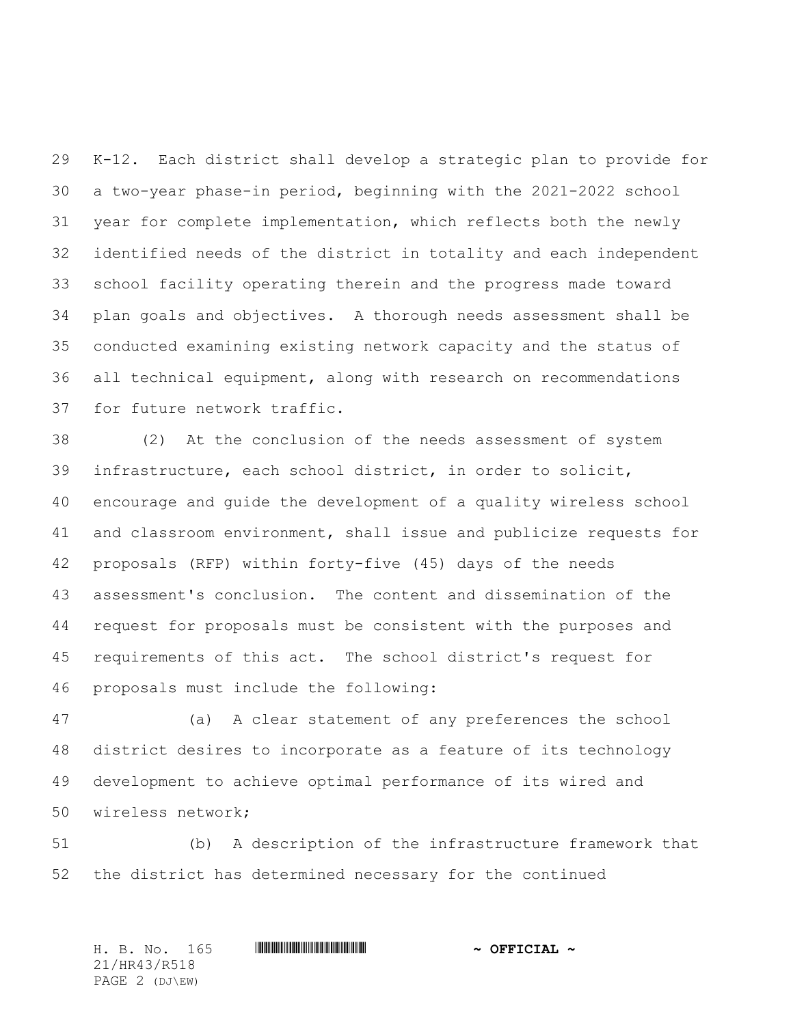K-12. Each district shall develop a strategic plan to provide for a two-year phase-in period, beginning with the 2021-2022 school year for complete implementation, which reflects both the newly identified needs of the district in totality and each independent school facility operating therein and the progress made toward plan goals and objectives. A thorough needs assessment shall be conducted examining existing network capacity and the status of all technical equipment, along with research on recommendations for future network traffic.

 (2) At the conclusion of the needs assessment of system infrastructure, each school district, in order to solicit, encourage and guide the development of a quality wireless school and classroom environment, shall issue and publicize requests for proposals (RFP) within forty-five (45) days of the needs assessment's conclusion. The content and dissemination of the request for proposals must be consistent with the purposes and requirements of this act. The school district's request for proposals must include the following:

 (a) A clear statement of any preferences the school district desires to incorporate as a feature of its technology development to achieve optimal performance of its wired and wireless network;

 (b) A description of the infrastructure framework that the district has determined necessary for the continued

H. B. No. 165 \*HR43/R518\* **~ OFFICIAL ~** 21/HR43/R518 PAGE 2 (DJ\EW)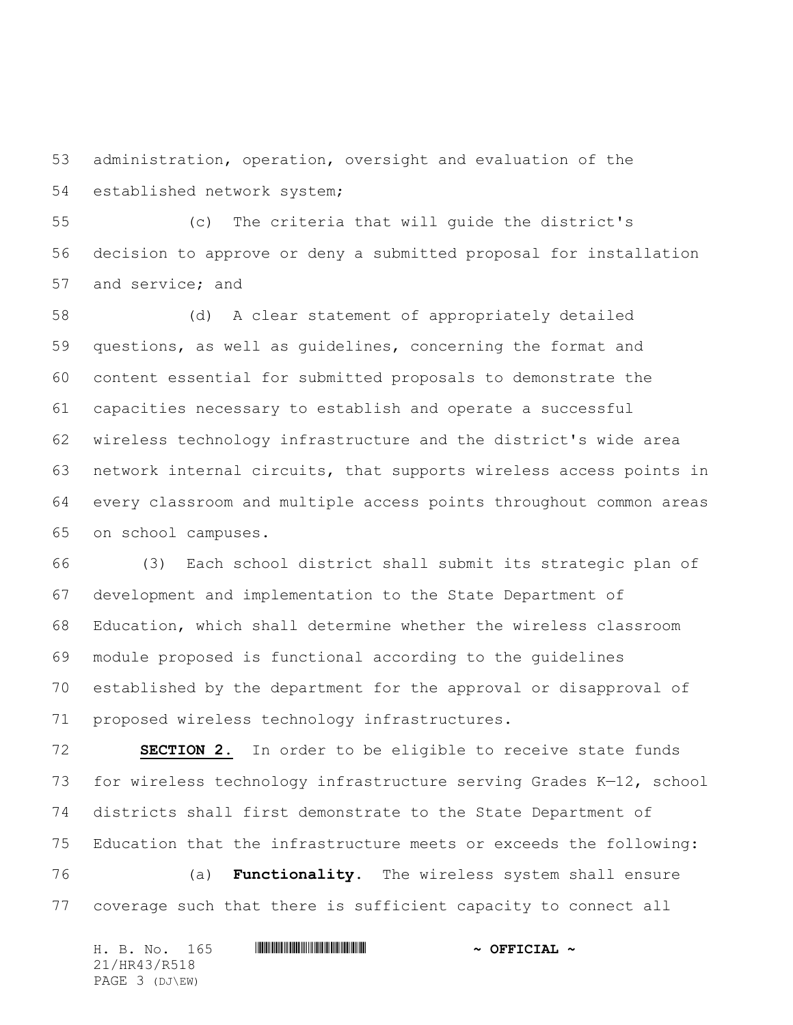administration, operation, oversight and evaluation of the established network system;

 (c) The criteria that will guide the district's decision to approve or deny a submitted proposal for installation and service; and

 (d) A clear statement of appropriately detailed questions, as well as guidelines, concerning the format and content essential for submitted proposals to demonstrate the capacities necessary to establish and operate a successful wireless technology infrastructure and the district's wide area network internal circuits, that supports wireless access points in every classroom and multiple access points throughout common areas on school campuses.

 (3) Each school district shall submit its strategic plan of development and implementation to the State Department of Education, which shall determine whether the wireless classroom module proposed is functional according to the guidelines established by the department for the approval or disapproval of proposed wireless technology infrastructures.

 **SECTION 2.** In order to be eligible to receive state funds for wireless technology infrastructure serving Grades K—12, school districts shall first demonstrate to the State Department of Education that the infrastructure meets or exceeds the following:

 (a) **Functionality**. The wireless system shall ensure coverage such that there is sufficient capacity to connect all

| H. B. No. 165  |  |  | $\sim$ OFFICIAL $\sim$ |
|----------------|--|--|------------------------|
| 21/HR43/R518   |  |  |                        |
| PAGE 3 (DJ\EW) |  |  |                        |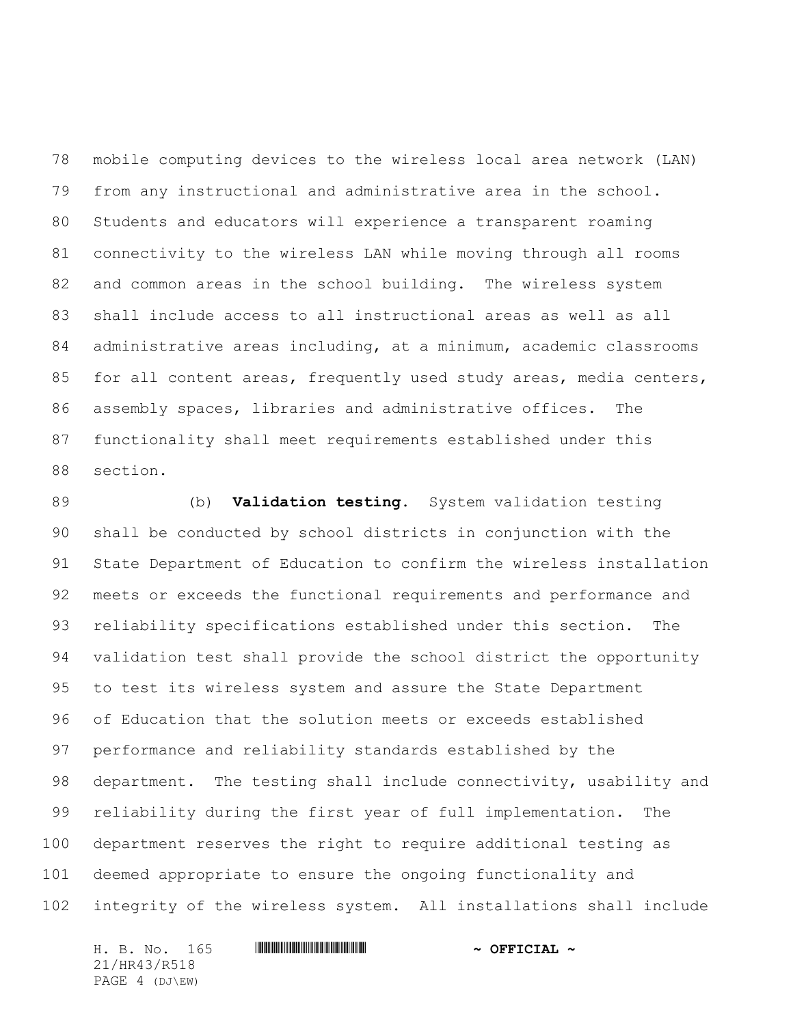mobile computing devices to the wireless local area network (LAN) from any instructional and administrative area in the school. Students and educators will experience a transparent roaming connectivity to the wireless LAN while moving through all rooms 82 and common areas in the school building. The wireless system shall include access to all instructional areas as well as all administrative areas including, at a minimum, academic classrooms 85 for all content areas, frequently used study areas, media centers, assembly spaces, libraries and administrative offices. The functionality shall meet requirements established under this section.

 (b) **Validation testing**. System validation testing shall be conducted by school districts in conjunction with the State Department of Education to confirm the wireless installation meets or exceeds the functional requirements and performance and reliability specifications established under this section. The validation test shall provide the school district the opportunity to test its wireless system and assure the State Department of Education that the solution meets or exceeds established performance and reliability standards established by the department. The testing shall include connectivity, usability and reliability during the first year of full implementation. The department reserves the right to require additional testing as deemed appropriate to ensure the ongoing functionality and integrity of the wireless system. All installations shall include

H. B. No. 165 \*HR43/R518\* **~ OFFICIAL ~** 21/HR43/R518 PAGE 4 (DJ\EW)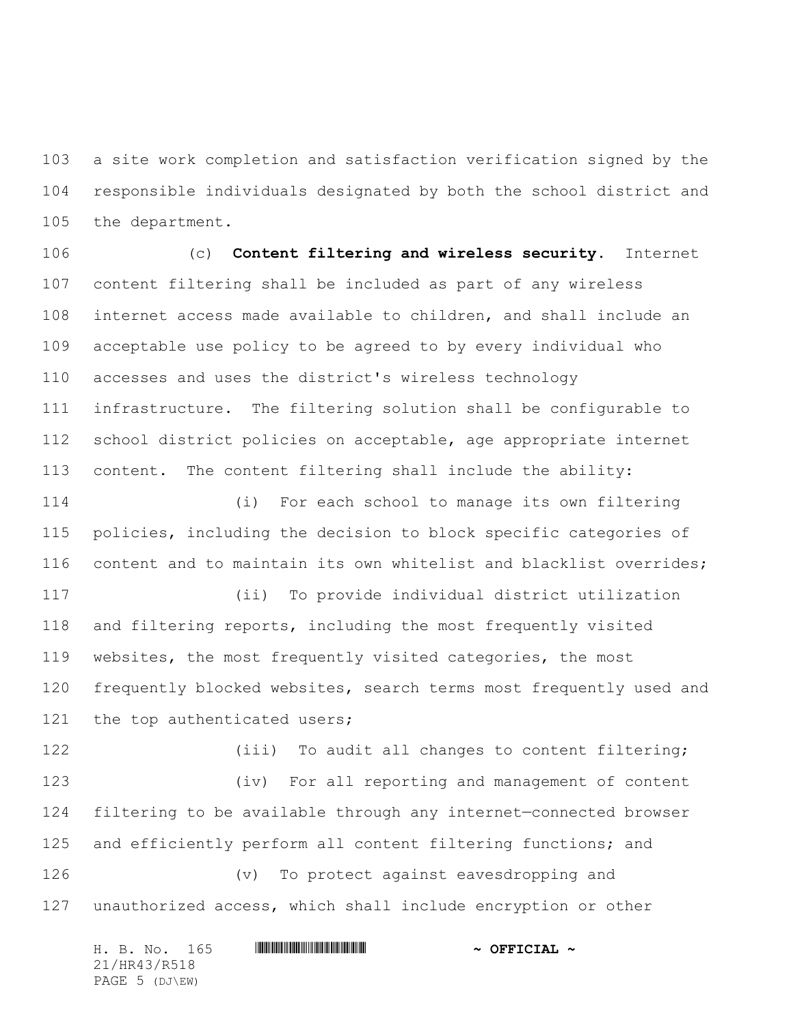a site work completion and satisfaction verification signed by the responsible individuals designated by both the school district and the department.

 (c) **Content filtering and wireless security.** Internet content filtering shall be included as part of any wireless internet access made available to children, and shall include an acceptable use policy to be agreed to by every individual who accesses and uses the district's wireless technology infrastructure. The filtering solution shall be configurable to school district policies on acceptable, age appropriate internet content. The content filtering shall include the ability:

 (i) For each school to manage its own filtering policies, including the decision to block specific categories of content and to maintain its own whitelist and blacklist overrides;

 (ii) To provide individual district utilization and filtering reports, including the most frequently visited websites, the most frequently visited categories, the most frequently blocked websites, search terms most frequently used and 121 the top authenticated users;

122 (iii) To audit all changes to content filtering; (iv) For all reporting and management of content filtering to be available through any internet—connected browser and efficiently perform all content filtering functions; and (v) To protect against eavesdropping and unauthorized access, which shall include encryption or other

|              |  |  | H. B. No. 165  |  | $\sim$ OFFICIAL $\sim$ |  |  |
|--------------|--|--|----------------|--|------------------------|--|--|
| 21/HR43/R518 |  |  |                |  |                        |  |  |
|              |  |  | PAGE 5 (DJ\EW) |  |                        |  |  |